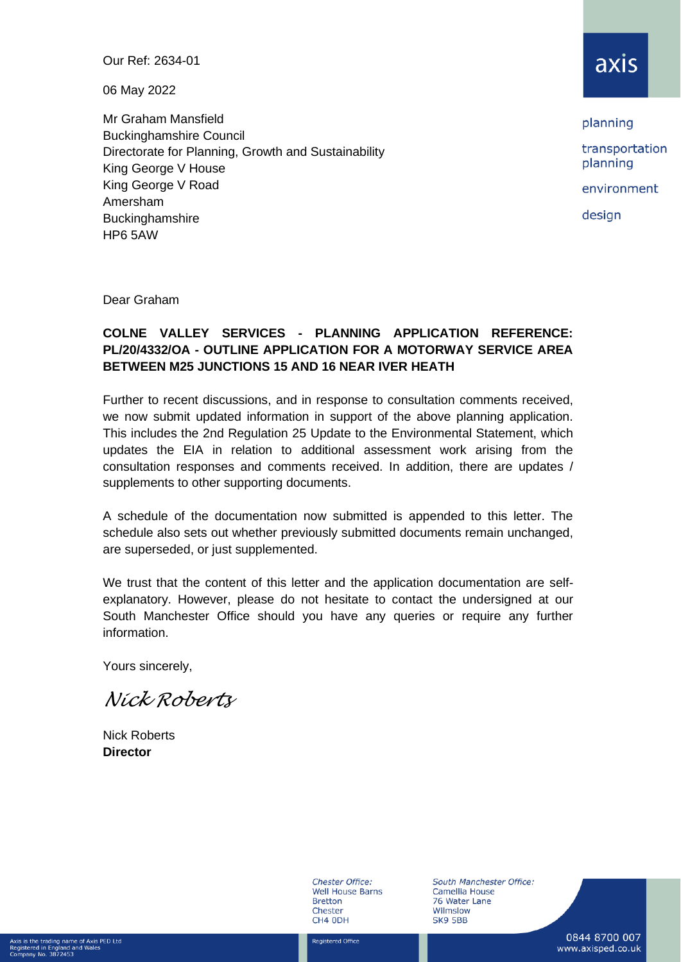xis is the trading name of Axis PED Ltd<br>egistered in England and Wales<br>ompany No. 3872453

Our Ref: 2634-01

06 May 2022

Mr Graham Mansfield Buckinghamshire Council Directorate for Planning, Growth and Sustainability King George V House King George V Road Amersham **Buckinghamshire** HP6 5AW

planning transportation planning environment design

Dear Graham

#### **COLNE VALLEY SERVICES - PLANNING APPLICATION REFERENCE: PL/20/4332/OA - OUTLINE APPLICATION FOR A MOTORWAY SERVICE AREA BETWEEN M25 JUNCTIONS 15 AND 16 NEAR IVER HEATH**

Further to recent discussions, and in response to consultation comments received, we now submit updated information in support of the above planning application. This includes the 2nd Regulation 25 Update to the Environmental Statement, which updates the EIA in relation to additional assessment work arising from the consultation responses and comments received. In addition, there are updates / supplements to other supporting documents.

A schedule of the documentation now submitted is appended to this letter. The schedule also sets out whether previously submitted documents remain unchanged, are superseded, or just supplemented.

We trust that the content of this letter and the application documentation are selfexplanatory. However, please do not hesitate to contact the undersigned at our South Manchester Office should you have any queries or require any further information.

Yours sincerely,

*Nick Roberts*

Nick Roberts **Director**

Chester Office: **Well House Barns Bretton** Chester CH4 ODH

South Manchester Office: Camellia House 76 Water Lane Wilmslow SK9 5BB

# axis

0844 8700 007 www.axisped.co.uk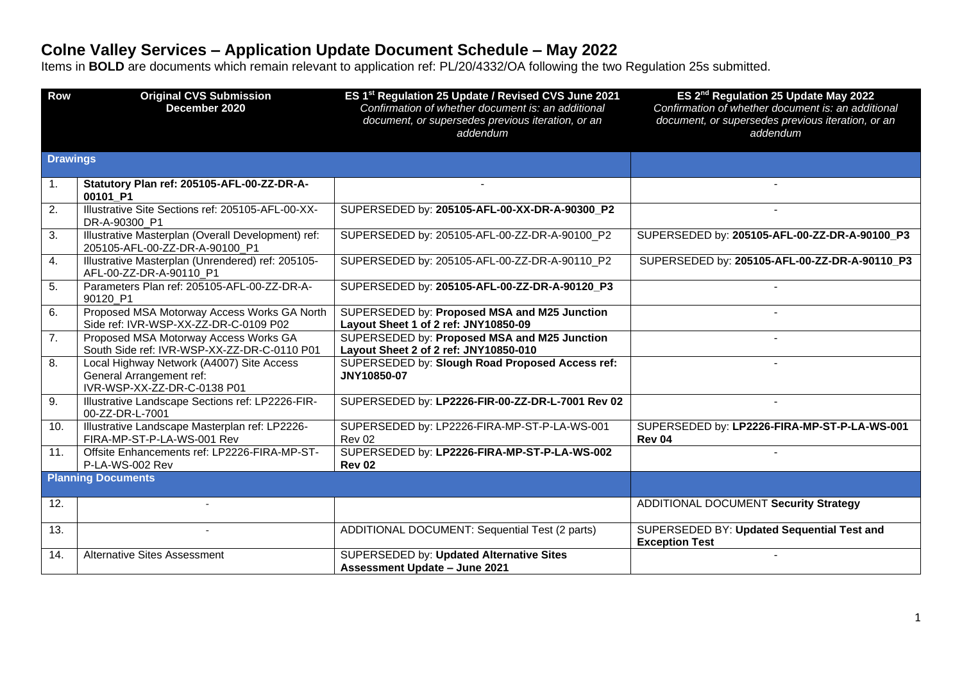| <b>Row</b>      | <b>Original CVS Submission</b><br>December 2020                                                      | ES 1 <sup>st</sup> Regulation 25 Update / Revised CVS June 2021<br>Confirmation of whether document is: an additional<br>document, or supersedes previous iteration, or an<br>addendum | ES 2 <sup>nd</sup> Regulation 25 Update May 2022<br>Confirmation of whether document is: an additional<br>document, or supersedes previous iteration, or an<br>addendum |
|-----------------|------------------------------------------------------------------------------------------------------|----------------------------------------------------------------------------------------------------------------------------------------------------------------------------------------|-------------------------------------------------------------------------------------------------------------------------------------------------------------------------|
| <b>Drawings</b> |                                                                                                      |                                                                                                                                                                                        |                                                                                                                                                                         |
| $\mathbf{1}$ .  | Statutory Plan ref: 205105-AFL-00-ZZ-DR-A-<br>00101 P1                                               |                                                                                                                                                                                        |                                                                                                                                                                         |
| 2.              | Illustrative Site Sections ref: 205105-AFL-00-XX-<br>DR-A-90300 P1                                   | SUPERSEDED by: 205105-AFL-00-XX-DR-A-90300_P2                                                                                                                                          |                                                                                                                                                                         |
| 3.              | Illustrative Masterplan (Overall Development) ref:<br>205105-AFL-00-ZZ-DR-A-90100_P1                 | SUPERSEDED by: 205105-AFL-00-ZZ-DR-A-90100_P2                                                                                                                                          | SUPERSEDED by: 205105-AFL-00-ZZ-DR-A-90100_P3                                                                                                                           |
| 4.              | Illustrative Masterplan (Unrendered) ref: 205105-<br>AFL-00-ZZ-DR-A-90110 P1                         | SUPERSEDED by: 205105-AFL-00-ZZ-DR-A-90110_P2                                                                                                                                          | SUPERSEDED by: 205105-AFL-00-ZZ-DR-A-90110_P3                                                                                                                           |
| 5.              | Parameters Plan ref: 205105-AFL-00-ZZ-DR-A-<br>90120 P1                                              | SUPERSEDED by: 205105-AFL-00-ZZ-DR-A-90120 P3                                                                                                                                          |                                                                                                                                                                         |
| 6.              | Proposed MSA Motorway Access Works GA North<br>Side ref: IVR-WSP-XX-ZZ-DR-C-0109 P02                 | SUPERSEDED by: Proposed MSA and M25 Junction<br>Layout Sheet 1 of 2 ref: JNY10850-09                                                                                                   |                                                                                                                                                                         |
| 7.              | Proposed MSA Motorway Access Works GA<br>South Side ref: IVR-WSP-XX-ZZ-DR-C-0110 P01                 | SUPERSEDED by: Proposed MSA and M25 Junction<br>Layout Sheet 2 of 2 ref: JNY10850-010                                                                                                  |                                                                                                                                                                         |
| 8.              | Local Highway Network (A4007) Site Access<br>General Arrangement ref:<br>IVR-WSP-XX-ZZ-DR-C-0138 P01 | SUPERSEDED by: Slough Road Proposed Access ref:<br>JNY10850-07                                                                                                                         | $\blacksquare$                                                                                                                                                          |
| 9.              | Illustrative Landscape Sections ref: LP2226-FIR-<br>00-ZZ-DR-L-7001                                  | SUPERSEDED by: LP2226-FIR-00-ZZ-DR-L-7001 Rev 02                                                                                                                                       | $\blacksquare$                                                                                                                                                          |
| 10.             | Illustrative Landscape Masterplan ref: LP2226-<br>FIRA-MP-ST-P-LA-WS-001 Rev                         | SUPERSEDED by: LP2226-FIRA-MP-ST-P-LA-WS-001<br>Rev 02                                                                                                                                 | SUPERSEDED by: LP2226-FIRA-MP-ST-P-LA-WS-001<br><b>Rev 04</b>                                                                                                           |
| 11.             | Offsite Enhancements ref: LP2226-FIRA-MP-ST-<br>P-LA-WS-002 Rev                                      | SUPERSEDED by: LP2226-FIRA-MP-ST-P-LA-WS-002<br><b>Rev 02</b>                                                                                                                          | $\blacksquare$                                                                                                                                                          |
|                 | <b>Planning Documents</b>                                                                            |                                                                                                                                                                                        |                                                                                                                                                                         |
| 12.             |                                                                                                      |                                                                                                                                                                                        | ADDITIONAL DOCUMENT Security Strategy                                                                                                                                   |
| 13.             | $\overline{a}$                                                                                       | ADDITIONAL DOCUMENT: Sequential Test (2 parts)                                                                                                                                         | SUPERSEDED BY: Updated Sequential Test and<br><b>Exception Test</b>                                                                                                     |
| 14.             | <b>Alternative Sites Assessment</b>                                                                  | <b>SUPERSEDED by: Updated Alternative Sites</b><br><b>Assessment Update - June 2021</b>                                                                                                |                                                                                                                                                                         |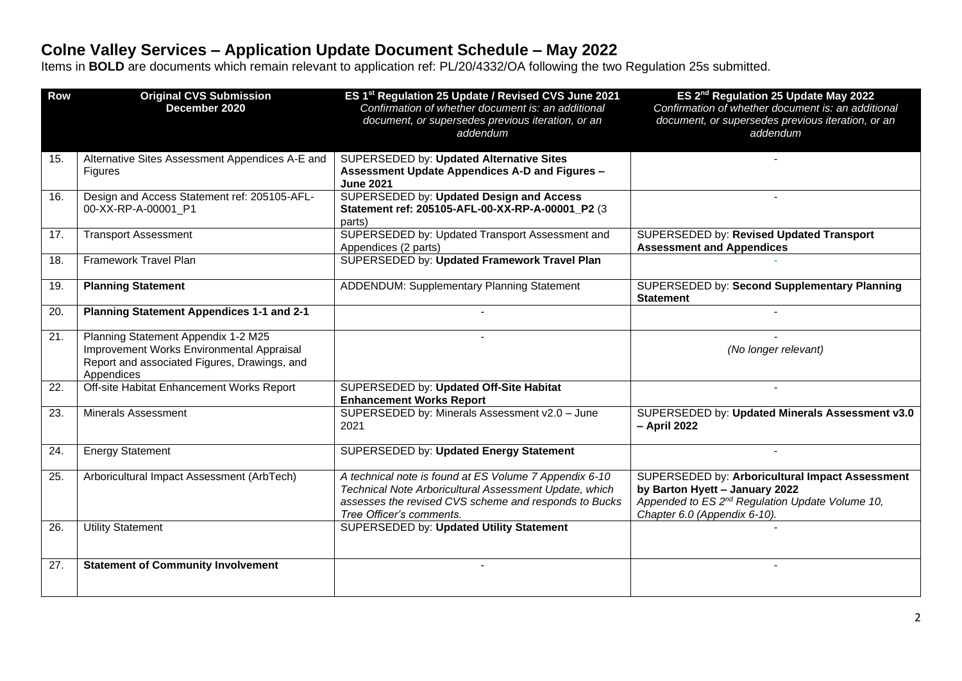| <b>Row</b>        | <b>Original CVS Submission</b><br>December 2020                                                                                                | ES 1 <sup>st</sup> Regulation 25 Update / Revised CVS June 2021<br>Confirmation of whether document is: an additional<br>document, or supersedes previous iteration, or an<br>addendum                | ES 2 <sup>nd</sup> Regulation 25 Update May 2022<br>Confirmation of whether document is: an additional<br>document, or supersedes previous iteration, or an<br>addendum          |
|-------------------|------------------------------------------------------------------------------------------------------------------------------------------------|-------------------------------------------------------------------------------------------------------------------------------------------------------------------------------------------------------|----------------------------------------------------------------------------------------------------------------------------------------------------------------------------------|
| 15.               | Alternative Sites Assessment Appendices A-E and<br>Figures                                                                                     | SUPERSEDED by: Updated Alternative Sites<br>Assessment Update Appendices A-D and Figures -<br><b>June 2021</b>                                                                                        |                                                                                                                                                                                  |
| 16.               | Design and Access Statement ref: 205105-AFL-<br>00-XX-RP-A-00001_P1                                                                            | SUPERSEDED by: Updated Design and Access<br>Statement ref: 205105-AFL-00-XX-RP-A-00001_P2 (3<br>parts)                                                                                                |                                                                                                                                                                                  |
| 17.               | <b>Transport Assessment</b>                                                                                                                    | SUPERSEDED by: Updated Transport Assessment and<br>Appendices (2 parts)                                                                                                                               | SUPERSEDED by: Revised Updated Transport<br><b>Assessment and Appendices</b>                                                                                                     |
| 18.               | <b>Framework Travel Plan</b>                                                                                                                   | SUPERSEDED by: Updated Framework Travel Plan                                                                                                                                                          |                                                                                                                                                                                  |
| 19.               | <b>Planning Statement</b>                                                                                                                      | ADDENDUM: Supplementary Planning Statement                                                                                                                                                            | SUPERSEDED by: Second Supplementary Planning<br><b>Statement</b>                                                                                                                 |
| 20.               | Planning Statement Appendices 1-1 and 2-1                                                                                                      |                                                                                                                                                                                                       |                                                                                                                                                                                  |
| 21.               | Planning Statement Appendix 1-2 M25<br>Improvement Works Environmental Appraisal<br>Report and associated Figures, Drawings, and<br>Appendices |                                                                                                                                                                                                       | (No longer relevant)                                                                                                                                                             |
| 22.               | Off-site Habitat Enhancement Works Report                                                                                                      | SUPERSEDED by: Updated Off-Site Habitat<br><b>Enhancement Works Report</b>                                                                                                                            | $\blacksquare$                                                                                                                                                                   |
| 23.               | <b>Minerals Assessment</b>                                                                                                                     | SUPERSEDED by: Minerals Assessment v2.0 - June<br>2021                                                                                                                                                | SUPERSEDED by: Updated Minerals Assessment v3.0<br>- April 2022                                                                                                                  |
| $\overline{24}$ . | <b>Energy Statement</b>                                                                                                                        | SUPERSEDED by: Updated Energy Statement                                                                                                                                                               | $\mathbf{r}$                                                                                                                                                                     |
| 25.               | Arboricultural Impact Assessment (ArbTech)                                                                                                     | A technical note is found at ES Volume 7 Appendix 6-10<br>Technical Note Arboricultural Assessment Update, which<br>assesses the revised CVS scheme and responds to Bucks<br>Tree Officer's comments. | SUPERSEDED by: Arboricultural Impact Assessment<br>by Barton Hyett - January 2022<br>Appended to ES 2 <sup>nd</sup> Regulation Update Volume 10,<br>Chapter 6.0 (Appendix 6-10). |
| 26.               | <b>Utility Statement</b>                                                                                                                       | <b>SUPERSEDED by: Updated Utility Statement</b>                                                                                                                                                       |                                                                                                                                                                                  |
| 27.               | <b>Statement of Community Involvement</b>                                                                                                      |                                                                                                                                                                                                       |                                                                                                                                                                                  |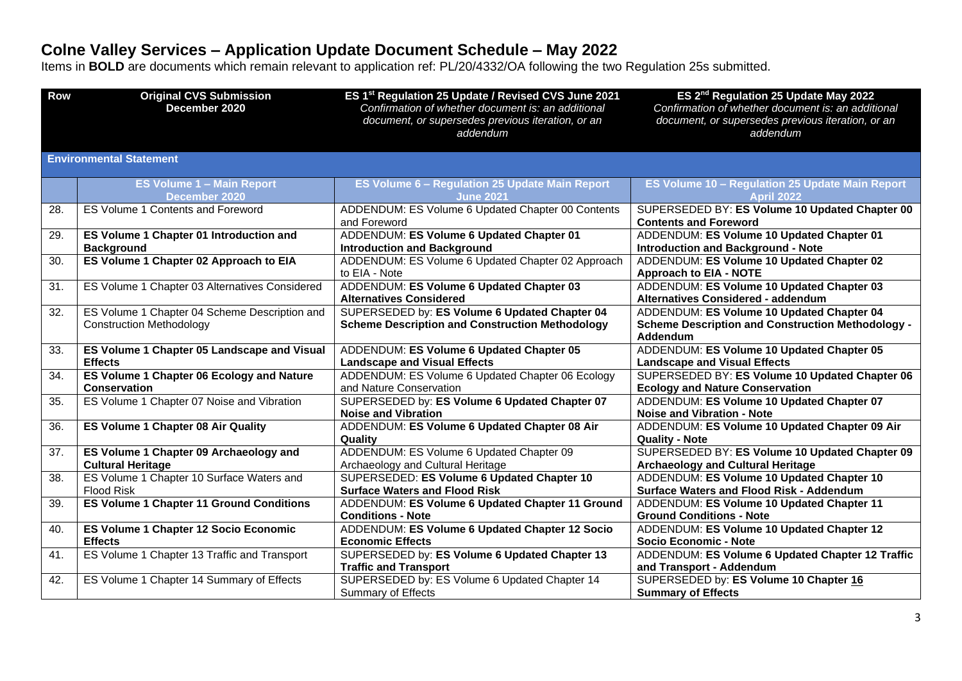| <b>Row</b> | <b>Original CVS Submission</b><br>December 2020                                  | ES 1 <sup>st</sup> Regulation 25 Update / Revised CVS June 2021<br>Confirmation of whether document is: an additional<br>document, or supersedes previous iteration, or an<br>addendum | ES 2 <sup>nd</sup> Regulation 25 Update May 2022<br>Confirmation of whether document is: an additional<br>document, or supersedes previous iteration, or an<br>addendum |
|------------|----------------------------------------------------------------------------------|----------------------------------------------------------------------------------------------------------------------------------------------------------------------------------------|-------------------------------------------------------------------------------------------------------------------------------------------------------------------------|
|            | <b>Environmental Statement</b>                                                   |                                                                                                                                                                                        |                                                                                                                                                                         |
|            | <b>ES Volume 1 - Main Report</b>                                                 | ES Volume 6 - Regulation 25 Update Main Report                                                                                                                                         | ES Volume 10 - Regulation 25 Update Main Report                                                                                                                         |
|            | December 2020                                                                    | <b>June 2021</b>                                                                                                                                                                       | <b>April 2022</b>                                                                                                                                                       |
| 28.        | ES Volume 1 Contents and Foreword                                                | ADDENDUM: ES Volume 6 Updated Chapter 00 Contents<br>and Foreword                                                                                                                      | SUPERSEDED BY: ES Volume 10 Updated Chapter 00<br><b>Contents and Foreword</b>                                                                                          |
| 29.        | ES Volume 1 Chapter 01 Introduction and<br><b>Background</b>                     | ADDENDUM: ES Volume 6 Updated Chapter 01<br><b>Introduction and Background</b>                                                                                                         | ADDENDUM: ES Volume 10 Updated Chapter 01<br><b>Introduction and Background - Note</b>                                                                                  |
| 30.        | ES Volume 1 Chapter 02 Approach to EIA                                           | ADDENDUM: ES Volume 6 Updated Chapter 02 Approach<br>to EIA - Note                                                                                                                     | ADDENDUM: ES Volume 10 Updated Chapter 02<br><b>Approach to EIA - NOTE</b>                                                                                              |
| 31.        | ES Volume 1 Chapter 03 Alternatives Considered                                   | ADDENDUM: ES Volume 6 Updated Chapter 03<br><b>Alternatives Considered</b>                                                                                                             | ADDENDUM: ES Volume 10 Updated Chapter 03<br>Alternatives Considered - addendum                                                                                         |
| 32.        | ES Volume 1 Chapter 04 Scheme Description and<br><b>Construction Methodology</b> | SUPERSEDED by: ES Volume 6 Updated Chapter 04<br><b>Scheme Description and Construction Methodology</b>                                                                                | ADDENDUM: ES Volume 10 Updated Chapter 04<br><b>Scheme Description and Construction Methodology -</b><br>Addendum                                                       |
| 33.        | ES Volume 1 Chapter 05 Landscape and Visual<br><b>Effects</b>                    | ADDENDUM: ES Volume 6 Updated Chapter 05<br><b>Landscape and Visual Effects</b>                                                                                                        | ADDENDUM: ES Volume 10 Updated Chapter 05<br><b>Landscape and Visual Effects</b>                                                                                        |
| 34.        | ES Volume 1 Chapter 06 Ecology and Nature<br><b>Conservation</b>                 | ADDENDUM: ES Volume 6 Updated Chapter 06 Ecology<br>and Nature Conservation                                                                                                            | SUPERSEDED BY: ES Volume 10 Updated Chapter 06<br><b>Ecology and Nature Conservation</b>                                                                                |
| 35.        | ES Volume 1 Chapter 07 Noise and Vibration                                       | SUPERSEDED by: ES Volume 6 Updated Chapter 07<br><b>Noise and Vibration</b>                                                                                                            | ADDENDUM: ES Volume 10 Updated Chapter 07<br><b>Noise and Vibration - Note</b>                                                                                          |
| 36.        | ES Volume 1 Chapter 08 Air Quality                                               | ADDENDUM: ES Volume 6 Updated Chapter 08 Air<br>Quality                                                                                                                                | ADDENDUM: ES Volume 10 Updated Chapter 09 Air<br><b>Quality - Note</b>                                                                                                  |
| 37.        | ES Volume 1 Chapter 09 Archaeology and<br><b>Cultural Heritage</b>               | ADDENDUM: ES Volume 6 Updated Chapter 09<br>Archaeology and Cultural Heritage                                                                                                          | SUPERSEDED BY: ES Volume 10 Updated Chapter 09<br><b>Archaeology and Cultural Heritage</b>                                                                              |
| 38.        | ES Volume 1 Chapter 10 Surface Waters and<br><b>Flood Risk</b>                   | SUPERSEDED: ES Volume 6 Updated Chapter 10<br><b>Surface Waters and Flood Risk</b>                                                                                                     | ADDENDUM: ES Volume 10 Updated Chapter 10<br>Surface Waters and Flood Risk - Addendum                                                                                   |
| 39.        | <b>ES Volume 1 Chapter 11 Ground Conditions</b>                                  | ADDENDUM: ES Volume 6 Updated Chapter 11 Ground<br><b>Conditions - Note</b>                                                                                                            | ADDENDUM: ES Volume 10 Updated Chapter 11<br><b>Ground Conditions - Note</b>                                                                                            |
| 40.        | <b>ES Volume 1 Chapter 12 Socio Economic</b><br><b>Effects</b>                   | ADDENDUM: ES Volume 6 Updated Chapter 12 Socio<br><b>Economic Effects</b>                                                                                                              | ADDENDUM: ES Volume 10 Updated Chapter 12<br>Socio Economic - Note                                                                                                      |
| 41.        | ES Volume 1 Chapter 13 Traffic and Transport                                     | SUPERSEDED by: ES Volume 6 Updated Chapter 13<br><b>Traffic and Transport</b>                                                                                                          | ADDENDUM: ES Volume 6 Updated Chapter 12 Traffic<br>and Transport - Addendum                                                                                            |
| 42.        | ES Volume 1 Chapter 14 Summary of Effects                                        | SUPERSEDED by: ES Volume 6 Updated Chapter 14<br><b>Summary of Effects</b>                                                                                                             | SUPERSEDED by: ES Volume 10 Chapter 16<br><b>Summary of Effects</b>                                                                                                     |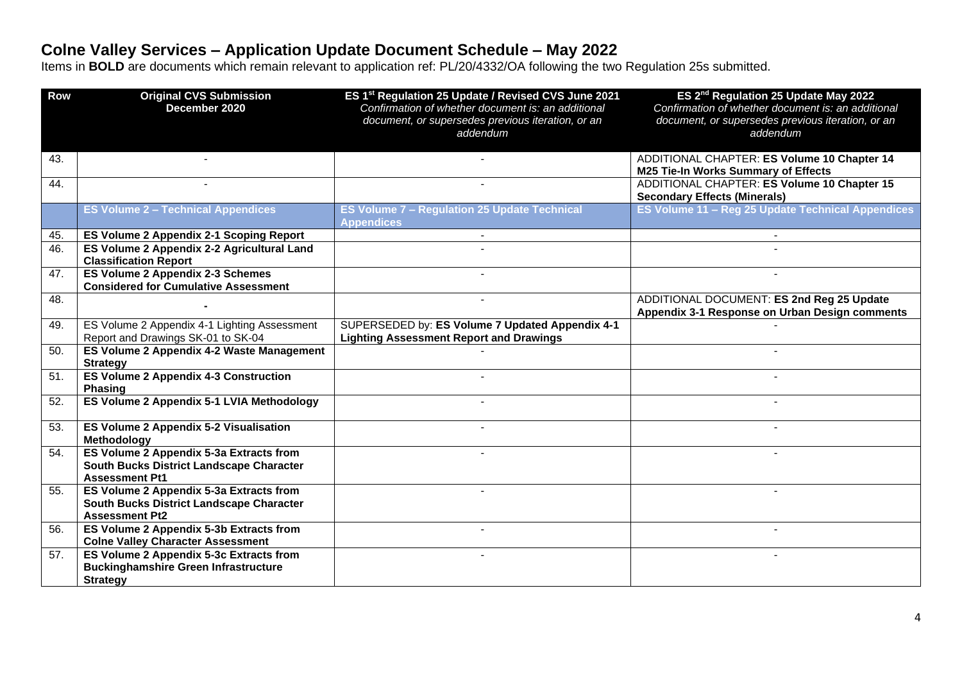| <b>Row</b> | <b>Original CVS Submission</b>                                                                               | ES 1 <sup>st</sup> Regulation 25 Update / Revised CVS June 2021                                         | ES 2 <sup>nd</sup> Regulation 25 Update May 2022                                                        |
|------------|--------------------------------------------------------------------------------------------------------------|---------------------------------------------------------------------------------------------------------|---------------------------------------------------------------------------------------------------------|
|            | December 2020                                                                                                | Confirmation of whether document is: an additional<br>document, or supersedes previous iteration, or an | Confirmation of whether document is: an additional<br>document, or supersedes previous iteration, or an |
|            |                                                                                                              | addendum                                                                                                | addendum                                                                                                |
|            |                                                                                                              |                                                                                                         | ADDITIONAL CHAPTER: ES Volume 10 Chapter 14                                                             |
| 43.        |                                                                                                              |                                                                                                         | <b>M25 Tie-In Works Summary of Effects</b>                                                              |
| 44.        | $\overline{a}$                                                                                               | $\overline{a}$                                                                                          | ADDITIONAL CHAPTER: ES Volume 10 Chapter 15<br><b>Secondary Effects (Minerals)</b>                      |
|            | <b>ES Volume 2 - Technical Appendices</b>                                                                    | <b>ES Volume 7 - Regulation 25 Update Technical</b><br><b>Appendices</b>                                | ES Volume 11 - Reg 25 Update Technical Appendices                                                       |
| 45.        | <b>ES Volume 2 Appendix 2-1 Scoping Report</b>                                                               |                                                                                                         |                                                                                                         |
| 46.        | ES Volume 2 Appendix 2-2 Agricultural Land<br><b>Classification Report</b>                                   |                                                                                                         |                                                                                                         |
| 47.        | ES Volume 2 Appendix 2-3 Schemes<br><b>Considered for Cumulative Assessment</b>                              |                                                                                                         |                                                                                                         |
| 48.        |                                                                                                              |                                                                                                         | ADDITIONAL DOCUMENT: ES 2nd Reg 25 Update<br>Appendix 3-1 Response on Urban Design comments             |
| 49.        | ES Volume 2 Appendix 4-1 Lighting Assessment                                                                 | SUPERSEDED by: ES Volume 7 Updated Appendix 4-1                                                         |                                                                                                         |
|            | Report and Drawings SK-01 to SK-04                                                                           | <b>Lighting Assessment Report and Drawings</b>                                                          |                                                                                                         |
| 50.        | ES Volume 2 Appendix 4-2 Waste Management<br><b>Strategy</b>                                                 |                                                                                                         |                                                                                                         |
| 51.        | <b>ES Volume 2 Appendix 4-3 Construction</b><br><b>Phasing</b>                                               |                                                                                                         |                                                                                                         |
| 52.        | ES Volume 2 Appendix 5-1 LVIA Methodology                                                                    |                                                                                                         |                                                                                                         |
| 53.        | ES Volume 2 Appendix 5-2 Visualisation<br>Methodology                                                        |                                                                                                         |                                                                                                         |
| 54.        | ES Volume 2 Appendix 5-3a Extracts from<br>South Bucks District Landscape Character<br><b>Assessment Pt1</b> |                                                                                                         |                                                                                                         |
| 55.        | ES Volume 2 Appendix 5-3a Extracts from<br>South Bucks District Landscape Character<br><b>Assessment Pt2</b> |                                                                                                         |                                                                                                         |
| 56.        | ES Volume 2 Appendix 5-3b Extracts from<br><b>Colne Valley Character Assessment</b>                          | $\blacksquare$                                                                                          | $\blacksquare$                                                                                          |
| 57.        | ES Volume 2 Appendix 5-3c Extracts from                                                                      |                                                                                                         |                                                                                                         |
|            | <b>Buckinghamshire Green Infrastructure</b>                                                                  |                                                                                                         |                                                                                                         |
|            | <b>Strategy</b>                                                                                              |                                                                                                         |                                                                                                         |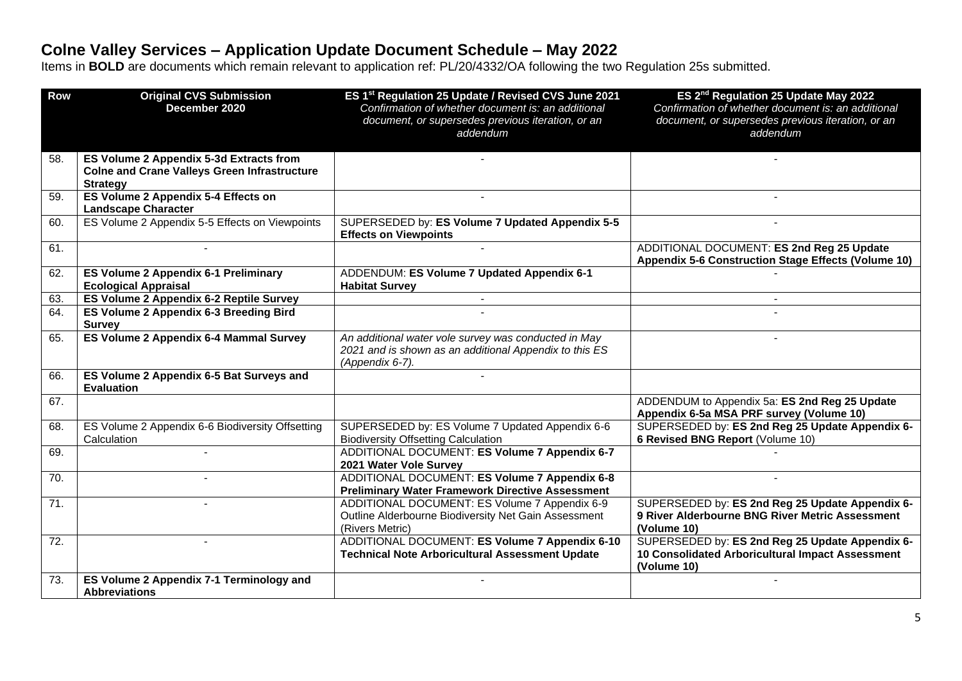| <b>Row</b>        | <b>Original CVS Submission</b><br>December 2020                                                                   | ES 1 <sup>st</sup> Regulation 25 Update / Revised CVS June 2021<br>Confirmation of whether document is: an additional             | ES 2 <sup>nd</sup> Regulation 25 Update May 2022<br>Confirmation of whether document is: an additional             |
|-------------------|-------------------------------------------------------------------------------------------------------------------|-----------------------------------------------------------------------------------------------------------------------------------|--------------------------------------------------------------------------------------------------------------------|
|                   |                                                                                                                   | document, or supersedes previous iteration, or an<br>addendum                                                                     | document, or supersedes previous iteration, or an<br>addendum                                                      |
| 58.               | ES Volume 2 Appendix 5-3d Extracts from<br><b>Colne and Crane Valleys Green Infrastructure</b><br><b>Strategy</b> |                                                                                                                                   |                                                                                                                    |
| 59.               | ES Volume 2 Appendix 5-4 Effects on<br><b>Landscape Character</b>                                                 |                                                                                                                                   |                                                                                                                    |
| 60.               | ES Volume 2 Appendix 5-5 Effects on Viewpoints                                                                    | SUPERSEDED by: ES Volume 7 Updated Appendix 5-5<br><b>Effects on Viewpoints</b>                                                   |                                                                                                                    |
| 61.               |                                                                                                                   |                                                                                                                                   | ADDITIONAL DOCUMENT: ES 2nd Reg 25 Update<br>Appendix 5-6 Construction Stage Effects (Volume 10)                   |
| 62.               | ES Volume 2 Appendix 6-1 Preliminary<br><b>Ecological Appraisal</b>                                               | ADDENDUM: ES Volume 7 Updated Appendix 6-1<br><b>Habitat Survey</b>                                                               |                                                                                                                    |
| 63.               | ES Volume 2 Appendix 6-2 Reptile Survey                                                                           |                                                                                                                                   |                                                                                                                    |
| 64.               | ES Volume 2 Appendix 6-3 Breeding Bird<br><b>Survey</b>                                                           |                                                                                                                                   |                                                                                                                    |
| 65.               | ES Volume 2 Appendix 6-4 Mammal Survey                                                                            | An additional water vole survey was conducted in May<br>2021 and is shown as an additional Appendix to this ES<br>(Appendix 6-7). |                                                                                                                    |
| 66.               | ES Volume 2 Appendix 6-5 Bat Surveys and<br><b>Evaluation</b>                                                     |                                                                                                                                   |                                                                                                                    |
| 67.               |                                                                                                                   |                                                                                                                                   | ADDENDUM to Appendix 5a: ES 2nd Reg 25 Update<br>Appendix 6-5a MSA PRF survey (Volume 10)                          |
| 68.               | ES Volume 2 Appendix 6-6 Biodiversity Offsetting<br>Calculation                                                   | SUPERSEDED by: ES Volume 7 Updated Appendix 6-6<br><b>Biodiversity Offsetting Calculation</b>                                     | SUPERSEDED by: ES 2nd Reg 25 Update Appendix 6-<br>6 Revised BNG Report (Volume 10)                                |
| 69.               |                                                                                                                   | ADDITIONAL DOCUMENT: ES Volume 7 Appendix 6-7<br>2021 Water Vole Survey                                                           |                                                                                                                    |
| 70.               |                                                                                                                   | ADDITIONAL DOCUMENT: ES Volume 7 Appendix 6-8<br><b>Preliminary Water Framework Directive Assessment</b>                          |                                                                                                                    |
| $\overline{71}$ . |                                                                                                                   | ADDITIONAL DOCUMENT: ES Volume 7 Appendix 6-9<br>Outline Alderbourne Biodiversity Net Gain Assessment<br>(Rivers Metric)          | SUPERSEDED by: ES 2nd Reg 25 Update Appendix 6-<br>9 River Alderbourne BNG River Metric Assessment<br>(Volume 10)  |
| $\overline{72}$ . | $\blacksquare$                                                                                                    | ADDITIONAL DOCUMENT: ES Volume 7 Appendix 6-10<br><b>Technical Note Arboricultural Assessment Update</b>                          | SUPERSEDED by: ES 2nd Reg 25 Update Appendix 6-<br>10 Consolidated Arboricultural Impact Assessment<br>(Volume 10) |
| 73.               | ES Volume 2 Appendix 7-1 Terminology and<br><b>Abbreviations</b>                                                  |                                                                                                                                   |                                                                                                                    |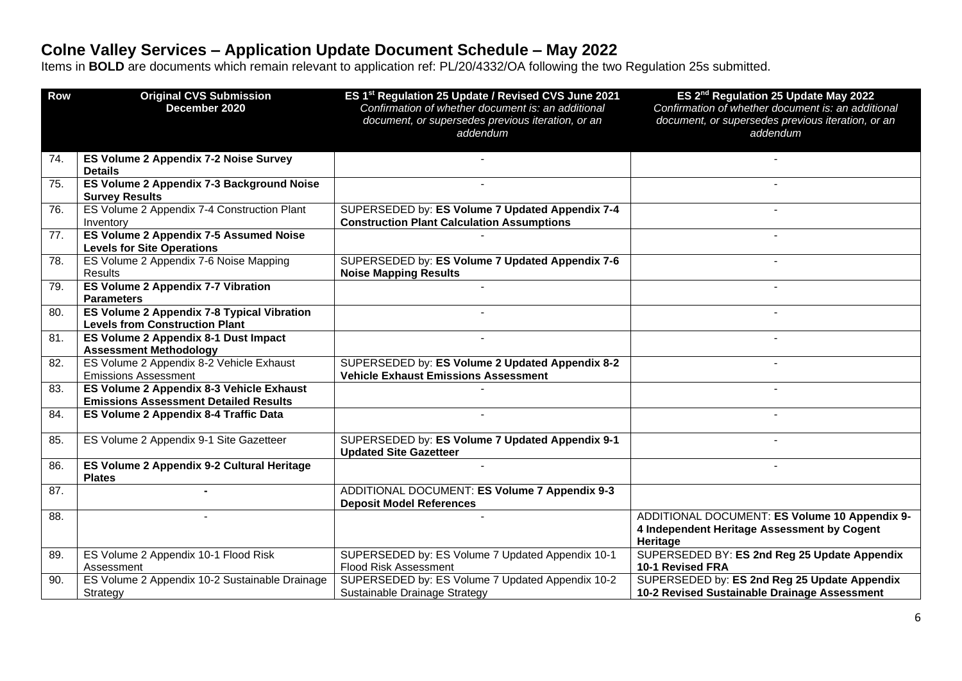| <b>Row</b> | <b>Original CVS Submission</b><br>December 2020                                          | ES 1 <sup>st</sup> Regulation 25 Update / Revised CVS June 2021<br>Confirmation of whether document is: an additional<br>document, or supersedes previous iteration, or an<br>addendum | ES 2 <sup>nd</sup> Regulation 25 Update May 2022<br>Confirmation of whether document is: an additional<br>document, or supersedes previous iteration, or an<br>addendum |
|------------|------------------------------------------------------------------------------------------|----------------------------------------------------------------------------------------------------------------------------------------------------------------------------------------|-------------------------------------------------------------------------------------------------------------------------------------------------------------------------|
| 74.        | ES Volume 2 Appendix 7-2 Noise Survey<br><b>Details</b>                                  |                                                                                                                                                                                        |                                                                                                                                                                         |
| 75.        | ES Volume 2 Appendix 7-3 Background Noise<br><b>Survey Results</b>                       |                                                                                                                                                                                        |                                                                                                                                                                         |
| 76.        | ES Volume 2 Appendix 7-4 Construction Plant<br>Inventory                                 | SUPERSEDED by: ES Volume 7 Updated Appendix 7-4<br><b>Construction Plant Calculation Assumptions</b>                                                                                   |                                                                                                                                                                         |
| 77.        | ES Volume 2 Appendix 7-5 Assumed Noise<br><b>Levels for Site Operations</b>              |                                                                                                                                                                                        |                                                                                                                                                                         |
| 78.        | ES Volume 2 Appendix 7-6 Noise Mapping<br>Results                                        | SUPERSEDED by: ES Volume 7 Updated Appendix 7-6<br><b>Noise Mapping Results</b>                                                                                                        |                                                                                                                                                                         |
| 79.        | <b>ES Volume 2 Appendix 7-7 Vibration</b><br><b>Parameters</b>                           |                                                                                                                                                                                        |                                                                                                                                                                         |
| 80.        | ES Volume 2 Appendix 7-8 Typical Vibration<br><b>Levels from Construction Plant</b>      |                                                                                                                                                                                        |                                                                                                                                                                         |
| 81.        | ES Volume 2 Appendix 8-1 Dust Impact<br><b>Assessment Methodology</b>                    |                                                                                                                                                                                        |                                                                                                                                                                         |
| 82.        | ES Volume 2 Appendix 8-2 Vehicle Exhaust<br><b>Emissions Assessment</b>                  | SUPERSEDED by: ES Volume 2 Updated Appendix 8-2<br><b>Vehicle Exhaust Emissions Assessment</b>                                                                                         | $\overline{\phantom{a}}$                                                                                                                                                |
| 83.        | ES Volume 2 Appendix 8-3 Vehicle Exhaust<br><b>Emissions Assessment Detailed Results</b> |                                                                                                                                                                                        | $\blacksquare$                                                                                                                                                          |
| 84.        | ES Volume 2 Appendix 8-4 Traffic Data                                                    |                                                                                                                                                                                        |                                                                                                                                                                         |
| 85.        | ES Volume 2 Appendix 9-1 Site Gazetteer                                                  | SUPERSEDED by: ES Volume 7 Updated Appendix 9-1<br><b>Updated Site Gazetteer</b>                                                                                                       |                                                                                                                                                                         |
| 86.        | ES Volume 2 Appendix 9-2 Cultural Heritage<br><b>Plates</b>                              |                                                                                                                                                                                        |                                                                                                                                                                         |
| 87.        |                                                                                          | ADDITIONAL DOCUMENT: ES Volume 7 Appendix 9-3<br><b>Deposit Model References</b>                                                                                                       |                                                                                                                                                                         |
| 88.        |                                                                                          |                                                                                                                                                                                        | ADDITIONAL DOCUMENT: ES Volume 10 Appendix 9-<br>4 Independent Heritage Assessment by Cogent<br>Heritage                                                                |
| 89.        | ES Volume 2 Appendix 10-1 Flood Risk<br>Assessment                                       | SUPERSEDED by: ES Volume 7 Updated Appendix 10-1<br><b>Flood Risk Assessment</b>                                                                                                       | SUPERSEDED BY: ES 2nd Reg 25 Update Appendix<br>10-1 Revised FRA                                                                                                        |
| 90.        | ES Volume 2 Appendix 10-2 Sustainable Drainage<br>Strategy                               | SUPERSEDED by: ES Volume 7 Updated Appendix 10-2<br>Sustainable Drainage Strategy                                                                                                      | SUPERSEDED by: ES 2nd Reg 25 Update Appendix<br>10-2 Revised Sustainable Drainage Assessment                                                                            |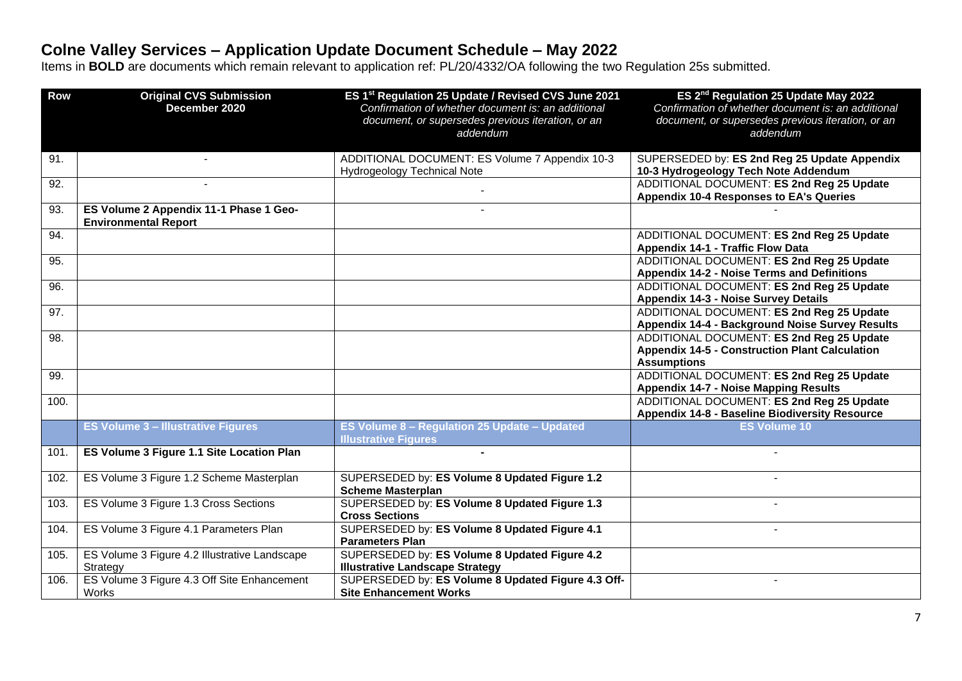| <b>Row</b> | <b>Original CVS Submission</b><br>December 2020                       | ES 1 <sup>st</sup> Regulation 25 Update / Revised CVS June 2021<br>Confirmation of whether document is: an additional | ES 2 <sup>nd</sup> Regulation 25 Update May 2022<br>Confirmation of whether document is: an additional                   |
|------------|-----------------------------------------------------------------------|-----------------------------------------------------------------------------------------------------------------------|--------------------------------------------------------------------------------------------------------------------------|
|            |                                                                       | document, or supersedes previous iteration, or an<br>addendum                                                         | document, or supersedes previous iteration, or an<br>addendum                                                            |
| 91.        |                                                                       | ADDITIONAL DOCUMENT: ES Volume 7 Appendix 10-3<br><b>Hydrogeology Technical Note</b>                                  | SUPERSEDED by: ES 2nd Reg 25 Update Appendix<br>10-3 Hydrogeology Tech Note Addendum                                     |
| 92.        |                                                                       |                                                                                                                       | ADDITIONAL DOCUMENT: ES 2nd Reg 25 Update<br><b>Appendix 10-4 Responses to EA's Queries</b>                              |
| 93.        | ES Volume 2 Appendix 11-1 Phase 1 Geo-<br><b>Environmental Report</b> |                                                                                                                       |                                                                                                                          |
| 94.        |                                                                       |                                                                                                                       | ADDITIONAL DOCUMENT: ES 2nd Reg 25 Update<br>Appendix 14-1 - Traffic Flow Data                                           |
| 95.        |                                                                       |                                                                                                                       | ADDITIONAL DOCUMENT: ES 2nd Reg 25 Update<br>Appendix 14-2 - Noise Terms and Definitions                                 |
| 96.        |                                                                       |                                                                                                                       | ADDITIONAL DOCUMENT: ES 2nd Reg 25 Update<br><b>Appendix 14-3 - Noise Survey Details</b>                                 |
| 97.        |                                                                       |                                                                                                                       | ADDITIONAL DOCUMENT: ES 2nd Reg 25 Update<br>Appendix 14-4 - Background Noise Survey Results                             |
| 98.        |                                                                       |                                                                                                                       | ADDITIONAL DOCUMENT: ES 2nd Reg 25 Update<br><b>Appendix 14-5 - Construction Plant Calculation</b><br><b>Assumptions</b> |
| 99.        |                                                                       |                                                                                                                       | ADDITIONAL DOCUMENT: ES 2nd Reg 25 Update<br><b>Appendix 14-7 - Noise Mapping Results</b>                                |
| 100.       |                                                                       |                                                                                                                       | ADDITIONAL DOCUMENT: ES 2nd Reg 25 Update<br>Appendix 14-8 - Baseline Biodiversity Resource                              |
|            | <b>ES Volume 3 - Illustrative Figures</b>                             | ES Volume 8 - Regulation 25 Update - Updated<br><b>Illustrative Figures</b>                                           | <b>ES Volume 10</b>                                                                                                      |
| 101.       | ES Volume 3 Figure 1.1 Site Location Plan                             |                                                                                                                       |                                                                                                                          |
| 102.       | ES Volume 3 Figure 1.2 Scheme Masterplan                              | SUPERSEDED by: ES Volume 8 Updated Figure 1.2<br><b>Scheme Masterplan</b>                                             |                                                                                                                          |
| 103.       | ES Volume 3 Figure 1.3 Cross Sections                                 | SUPERSEDED by: ES Volume 8 Updated Figure 1.3<br><b>Cross Sections</b>                                                |                                                                                                                          |
| 104.       | ES Volume 3 Figure 4.1 Parameters Plan                                | SUPERSEDED by: ES Volume 8 Updated Figure 4.1<br><b>Parameters Plan</b>                                               |                                                                                                                          |
| 105.       | ES Volume 3 Figure 4.2 Illustrative Landscape<br>Strategy             | SUPERSEDED by: ES Volume 8 Updated Figure 4.2<br><b>Illustrative Landscape Strategy</b>                               |                                                                                                                          |
| 106.       | ES Volume 3 Figure 4.3 Off Site Enhancement<br>Works                  | SUPERSEDED by: ES Volume 8 Updated Figure 4.3 Off-<br><b>Site Enhancement Works</b>                                   |                                                                                                                          |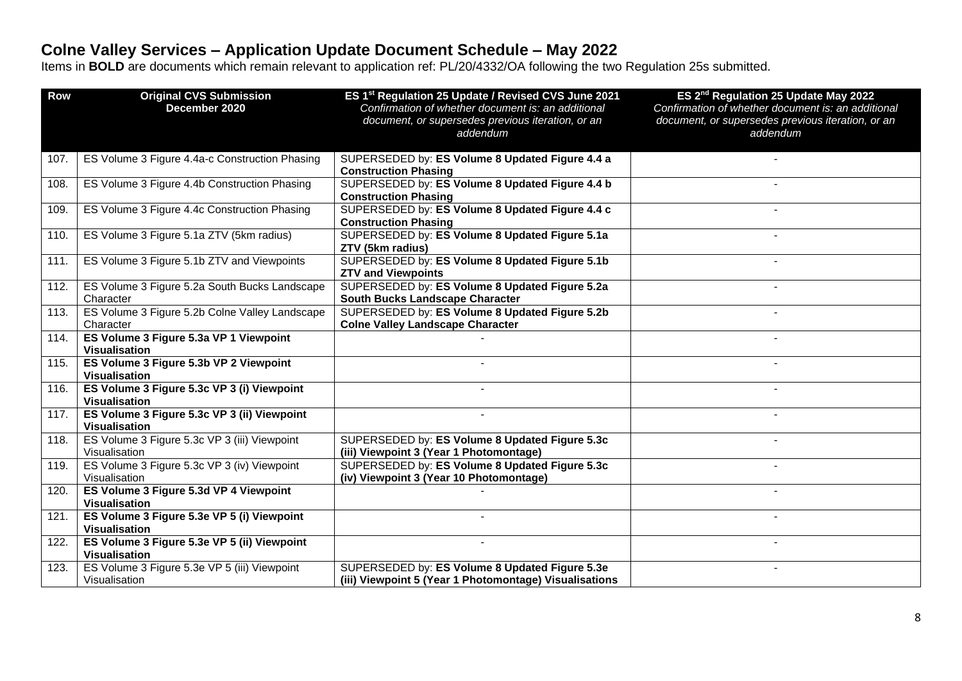| <b>Row</b> | <b>Original CVS Submission</b>                                | ES 1 <sup>st</sup> Regulation 25 Update / Revised CVS June 2021                                         | ES 2 <sup>nd</sup> Regulation 25 Update May 2022                                                        |
|------------|---------------------------------------------------------------|---------------------------------------------------------------------------------------------------------|---------------------------------------------------------------------------------------------------------|
|            | December 2020                                                 | Confirmation of whether document is: an additional<br>document, or supersedes previous iteration, or an | Confirmation of whether document is: an additional<br>document, or supersedes previous iteration, or an |
|            |                                                               | addendum                                                                                                | addendum                                                                                                |
|            |                                                               |                                                                                                         |                                                                                                         |
| 107.       | ES Volume 3 Figure 4.4a-c Construction Phasing                | SUPERSEDED by: ES Volume 8 Updated Figure 4.4 a                                                         |                                                                                                         |
|            |                                                               | <b>Construction Phasing</b>                                                                             |                                                                                                         |
| 108.       | ES Volume 3 Figure 4.4b Construction Phasing                  | SUPERSEDED by: ES Volume 8 Updated Figure 4.4 b                                                         |                                                                                                         |
|            |                                                               | <b>Construction Phasing</b>                                                                             |                                                                                                         |
| 109.       | ES Volume 3 Figure 4.4c Construction Phasing                  | SUPERSEDED by: ES Volume 8 Updated Figure 4.4 c                                                         |                                                                                                         |
|            |                                                               | <b>Construction Phasing</b>                                                                             |                                                                                                         |
| 110.       | ES Volume 3 Figure 5.1a ZTV (5km radius)                      | SUPERSEDED by: ES Volume 8 Updated Figure 5.1a                                                          |                                                                                                         |
|            |                                                               | ZTV (5km radius)                                                                                        |                                                                                                         |
| 111.       | ES Volume 3 Figure 5.1b ZTV and Viewpoints                    | SUPERSEDED by: ES Volume 8 Updated Figure 5.1b                                                          |                                                                                                         |
|            |                                                               | <b>ZTV and Viewpoints</b>                                                                               |                                                                                                         |
| 112.       | ES Volume 3 Figure 5.2a South Bucks Landscape                 | SUPERSEDED by: ES Volume 8 Updated Figure 5.2a                                                          |                                                                                                         |
|            | Character                                                     | <b>South Bucks Landscape Character</b>                                                                  |                                                                                                         |
| 113.       | ES Volume 3 Figure 5.2b Colne Valley Landscape                | SUPERSEDED by: ES Volume 8 Updated Figure 5.2b                                                          |                                                                                                         |
|            | Character                                                     | <b>Colne Valley Landscape Character</b>                                                                 |                                                                                                         |
| 114.       | ES Volume 3 Figure 5.3a VP 1 Viewpoint                        |                                                                                                         |                                                                                                         |
|            | <b>Visualisation</b>                                          |                                                                                                         |                                                                                                         |
| 115.       | ES Volume 3 Figure 5.3b VP 2 Viewpoint                        |                                                                                                         |                                                                                                         |
|            | <b>Visualisation</b>                                          |                                                                                                         |                                                                                                         |
| 116.       | ES Volume 3 Figure 5.3c VP 3 (i) Viewpoint                    |                                                                                                         |                                                                                                         |
|            | <b>Visualisation</b>                                          |                                                                                                         |                                                                                                         |
| 117.       | ES Volume 3 Figure 5.3c VP 3 (ii) Viewpoint                   |                                                                                                         |                                                                                                         |
|            | <b>Visualisation</b>                                          |                                                                                                         |                                                                                                         |
| 118.       | ES Volume 3 Figure 5.3c VP 3 (iii) Viewpoint                  | SUPERSEDED by: ES Volume 8 Updated Figure 5.3c                                                          |                                                                                                         |
|            | Visualisation                                                 | (iii) Viewpoint 3 (Year 1 Photomontage)                                                                 |                                                                                                         |
| 119.       | ES Volume 3 Figure 5.3c VP 3 (iv) Viewpoint                   | SUPERSEDED by: ES Volume 8 Updated Figure 5.3c                                                          |                                                                                                         |
|            | Visualisation                                                 | (iv) Viewpoint 3 (Year 10 Photomontage)                                                                 |                                                                                                         |
| 120.       | ES Volume 3 Figure 5.3d VP 4 Viewpoint                        |                                                                                                         |                                                                                                         |
|            | <b>Visualisation</b>                                          |                                                                                                         |                                                                                                         |
| 121.       | ES Volume 3 Figure 5.3e VP 5 (i) Viewpoint                    |                                                                                                         |                                                                                                         |
|            | <b>Visualisation</b>                                          |                                                                                                         |                                                                                                         |
| 122.       | ES Volume 3 Figure 5.3e VP 5 (ii) Viewpoint                   | $\overline{a}$                                                                                          |                                                                                                         |
|            | <b>Visualisation</b>                                          |                                                                                                         |                                                                                                         |
| 123.       | ES Volume 3 Figure 5.3e VP 5 (iii) Viewpoint<br>Visualisation | SUPERSEDED by: ES Volume 8 Updated Figure 5.3e                                                          |                                                                                                         |
|            |                                                               | (iii) Viewpoint 5 (Year 1 Photomontage) Visualisations                                                  |                                                                                                         |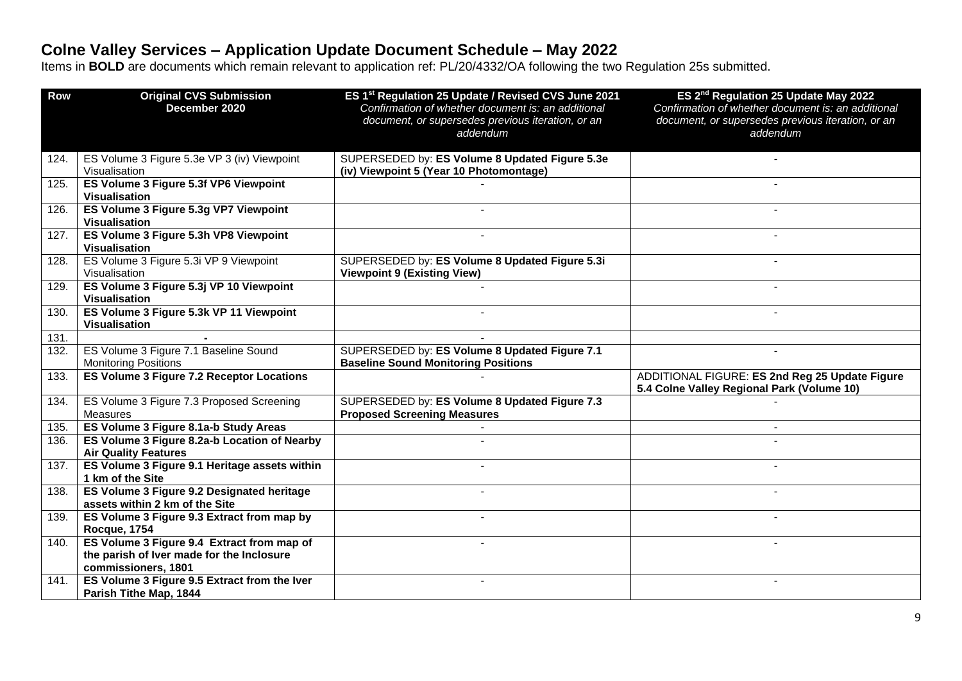| <b>Row</b> | <b>Original CVS Submission</b><br>December 2020                                                                | ES 1 <sup>st</sup> Regulation 25 Update / Revised CVS June 2021<br>Confirmation of whether document is: an additional | ES 2 <sup>nd</sup> Regulation 25 Update May 2022<br>Confirmation of whether document is: an additional |
|------------|----------------------------------------------------------------------------------------------------------------|-----------------------------------------------------------------------------------------------------------------------|--------------------------------------------------------------------------------------------------------|
|            |                                                                                                                | document, or supersedes previous iteration, or an<br>addendum                                                         | document, or supersedes previous iteration, or an<br>addendum                                          |
| 124.       | ES Volume 3 Figure 5.3e VP 3 (iv) Viewpoint<br>Visualisation                                                   | SUPERSEDED by: ES Volume 8 Updated Figure 5.3e<br>(iv) Viewpoint 5 (Year 10 Photomontage)                             |                                                                                                        |
| 125.       | ES Volume 3 Figure 5.3f VP6 Viewpoint<br><b>Visualisation</b>                                                  |                                                                                                                       |                                                                                                        |
| 126.       | ES Volume 3 Figure 5.3g VP7 Viewpoint<br><b>Visualisation</b>                                                  |                                                                                                                       |                                                                                                        |
| 127.       | ES Volume 3 Figure 5.3h VP8 Viewpoint<br><b>Visualisation</b>                                                  |                                                                                                                       |                                                                                                        |
| 128.       | ES Volume 3 Figure 5.3i VP 9 Viewpoint<br>Visualisation                                                        | SUPERSEDED by: ES Volume 8 Updated Figure 5.3i<br><b>Viewpoint 9 (Existing View)</b>                                  |                                                                                                        |
| 129.       | ES Volume 3 Figure 5.3j VP 10 Viewpoint<br><b>Visualisation</b>                                                |                                                                                                                       |                                                                                                        |
| 130.       | ES Volume 3 Figure 5.3k VP 11 Viewpoint<br><b>Visualisation</b>                                                |                                                                                                                       |                                                                                                        |
| 131.       |                                                                                                                |                                                                                                                       |                                                                                                        |
| 132.       | ES Volume 3 Figure 7.1 Baseline Sound<br><b>Monitoring Positions</b>                                           | SUPERSEDED by: ES Volume 8 Updated Figure 7.1<br><b>Baseline Sound Monitoring Positions</b>                           | $\blacksquare$                                                                                         |
| 133.       | <b>ES Volume 3 Figure 7.2 Receptor Locations</b>                                                               |                                                                                                                       | ADDITIONAL FIGURE: ES 2nd Reg 25 Update Figure<br>5.4 Colne Valley Regional Park (Volume 10)           |
| 134.       | ES Volume 3 Figure 7.3 Proposed Screening<br>Measures                                                          | SUPERSEDED by: ES Volume 8 Updated Figure 7.3<br><b>Proposed Screening Measures</b>                                   |                                                                                                        |
| 135.       | ES Volume 3 Figure 8.1a-b Study Areas                                                                          |                                                                                                                       | $\blacksquare$                                                                                         |
| 136.       | ES Volume 3 Figure 8.2a-b Location of Nearby<br><b>Air Quality Features</b>                                    |                                                                                                                       |                                                                                                        |
| 137.       | ES Volume 3 Figure 9.1 Heritage assets within<br>1 km of the Site                                              |                                                                                                                       |                                                                                                        |
| 138.       | ES Volume 3 Figure 9.2 Designated heritage<br>assets within 2 km of the Site                                   |                                                                                                                       |                                                                                                        |
| 139.       | ES Volume 3 Figure 9.3 Extract from map by<br>Rocque, 1754                                                     |                                                                                                                       |                                                                                                        |
| 140.       | ES Volume 3 Figure 9.4 Extract from map of<br>the parish of Iver made for the Inclosure<br>commissioners, 1801 |                                                                                                                       |                                                                                                        |
| 141.       | ES Volume 3 Figure 9.5 Extract from the Iver<br>Parish Tithe Map, 1844                                         |                                                                                                                       |                                                                                                        |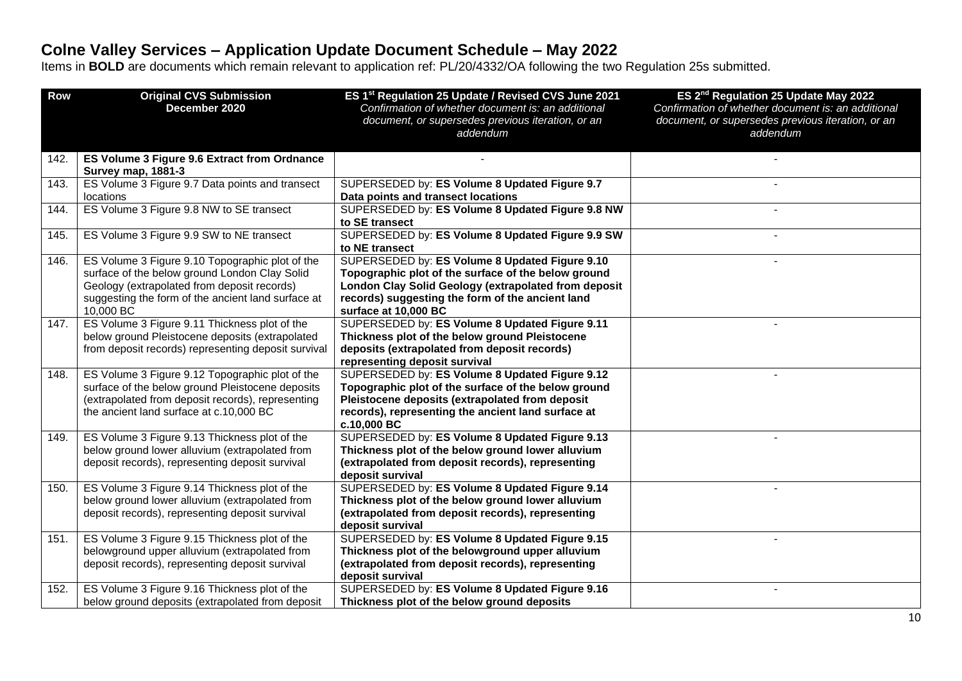| <b>Row</b> | <b>Original CVS Submission</b><br>December 2020                                                   | ES 1 <sup>st</sup> Regulation 25 Update / Revised CVS June 2021<br>Confirmation of whether document is: an additional<br>document, or supersedes previous iteration, or an | ES 2 <sup>nd</sup> Regulation 25 Update May 2022<br>Confirmation of whether document is: an additional<br>document, or supersedes previous iteration, or an |
|------------|---------------------------------------------------------------------------------------------------|----------------------------------------------------------------------------------------------------------------------------------------------------------------------------|-------------------------------------------------------------------------------------------------------------------------------------------------------------|
|            |                                                                                                   | addendum                                                                                                                                                                   | addendum                                                                                                                                                    |
| 142.       | ES Volume 3 Figure 9.6 Extract from Ordnance<br><b>Survey map, 1881-3</b>                         |                                                                                                                                                                            |                                                                                                                                                             |
| 143.       | ES Volume 3 Figure 9.7 Data points and transect<br>locations                                      | SUPERSEDED by: ES Volume 8 Updated Figure 9.7<br>Data points and transect locations                                                                                        |                                                                                                                                                             |
| 144.       | ES Volume 3 Figure 9.8 NW to SE transect                                                          | SUPERSEDED by: ES Volume 8 Updated Figure 9.8 NW<br>to SE transect                                                                                                         |                                                                                                                                                             |
| 145.       | ES Volume 3 Figure 9.9 SW to NE transect                                                          | SUPERSEDED by: ES Volume 8 Updated Figure 9.9 SW<br>to NE transect                                                                                                         |                                                                                                                                                             |
| 146.       | ES Volume 3 Figure 9.10 Topographic plot of the<br>surface of the below ground London Clay Solid  | SUPERSEDED by: ES Volume 8 Updated Figure 9.10<br>Topographic plot of the surface of the below ground                                                                      |                                                                                                                                                             |
|            | Geology (extrapolated from deposit records)<br>suggesting the form of the ancient land surface at | London Clay Solid Geology (extrapolated from deposit<br>records) suggesting the form of the ancient land                                                                   |                                                                                                                                                             |
|            | 10,000 BC                                                                                         | surface at 10,000 BC                                                                                                                                                       |                                                                                                                                                             |
| 147.       | ES Volume 3 Figure 9.11 Thickness plot of the                                                     | SUPERSEDED by: ES Volume 8 Updated Figure 9.11                                                                                                                             |                                                                                                                                                             |
|            | below ground Pleistocene deposits (extrapolated                                                   | Thickness plot of the below ground Pleistocene                                                                                                                             |                                                                                                                                                             |
|            | from deposit records) representing deposit survival                                               | deposits (extrapolated from deposit records)                                                                                                                               |                                                                                                                                                             |
|            |                                                                                                   | representing deposit survival                                                                                                                                              |                                                                                                                                                             |
| 148.       | ES Volume 3 Figure 9.12 Topographic plot of the                                                   | SUPERSEDED by: ES Volume 8 Updated Figure 9.12                                                                                                                             |                                                                                                                                                             |
|            | surface of the below ground Pleistocene deposits                                                  | Topographic plot of the surface of the below ground                                                                                                                        |                                                                                                                                                             |
|            | (extrapolated from deposit records), representing<br>the ancient land surface at c.10,000 BC      | Pleistocene deposits (extrapolated from deposit<br>records), representing the ancient land surface at                                                                      |                                                                                                                                                             |
|            |                                                                                                   | c.10,000 BC                                                                                                                                                                |                                                                                                                                                             |
| 149.       | ES Volume 3 Figure 9.13 Thickness plot of the                                                     | SUPERSEDED by: ES Volume 8 Updated Figure 9.13                                                                                                                             | $\blacksquare$                                                                                                                                              |
|            | below ground lower alluvium (extrapolated from                                                    | Thickness plot of the below ground lower alluvium                                                                                                                          |                                                                                                                                                             |
|            | deposit records), representing deposit survival                                                   | (extrapolated from deposit records), representing                                                                                                                          |                                                                                                                                                             |
|            |                                                                                                   | deposit survival                                                                                                                                                           |                                                                                                                                                             |
| 150.       | ES Volume 3 Figure 9.14 Thickness plot of the                                                     | SUPERSEDED by: ES Volume 8 Updated Figure 9.14                                                                                                                             |                                                                                                                                                             |
|            | below ground lower alluvium (extrapolated from                                                    | Thickness plot of the below ground lower alluvium                                                                                                                          |                                                                                                                                                             |
|            | deposit records), representing deposit survival                                                   | (extrapolated from deposit records), representing<br>deposit survival                                                                                                      |                                                                                                                                                             |
| 151.       | ES Volume 3 Figure 9.15 Thickness plot of the                                                     | SUPERSEDED by: ES Volume 8 Updated Figure 9.15                                                                                                                             |                                                                                                                                                             |
|            | belowground upper alluvium (extrapolated from                                                     | Thickness plot of the belowground upper alluvium                                                                                                                           |                                                                                                                                                             |
|            | deposit records), representing deposit survival                                                   | (extrapolated from deposit records), representing                                                                                                                          |                                                                                                                                                             |
|            |                                                                                                   | deposit survival                                                                                                                                                           |                                                                                                                                                             |
| 152.       | ES Volume 3 Figure 9.16 Thickness plot of the                                                     | SUPERSEDED by: ES Volume 8 Updated Figure 9.16                                                                                                                             |                                                                                                                                                             |
|            | below ground deposits (extrapolated from deposit                                                  | Thickness plot of the below ground deposits                                                                                                                                |                                                                                                                                                             |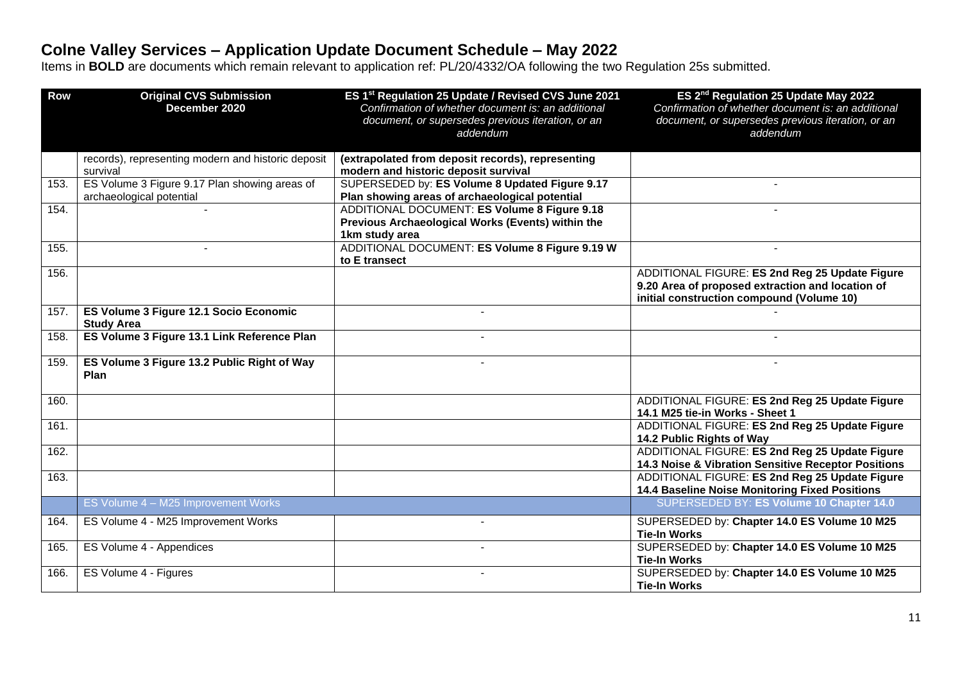| <b>Row</b> | <b>Original CVS Submission</b><br>December 2020                           | ES 1 <sup>st</sup> Regulation 25 Update / Revised CVS June 2021<br>Confirmation of whether document is: an additional | ES 2 <sup>nd</sup> Regulation 25 Update May 2022<br>Confirmation of whether document is: an additional                                          |
|------------|---------------------------------------------------------------------------|-----------------------------------------------------------------------------------------------------------------------|-------------------------------------------------------------------------------------------------------------------------------------------------|
|            |                                                                           | document, or supersedes previous iteration, or an<br>addendum                                                         | document, or supersedes previous iteration, or an<br>addendum                                                                                   |
|            |                                                                           |                                                                                                                       |                                                                                                                                                 |
|            | records), representing modern and historic deposit<br>survival            | (extrapolated from deposit records), representing<br>modern and historic deposit survival                             |                                                                                                                                                 |
| 153.       | ES Volume 3 Figure 9.17 Plan showing areas of<br>archaeological potential | SUPERSEDED by: ES Volume 8 Updated Figure 9.17<br>Plan showing areas of archaeological potential                      | $\blacksquare$                                                                                                                                  |
| 154.       |                                                                           | ADDITIONAL DOCUMENT: ES Volume 8 Figure 9.18<br>Previous Archaeological Works (Events) within the<br>1km study area   | $\blacksquare$                                                                                                                                  |
| 155.       |                                                                           | ADDITIONAL DOCUMENT: ES Volume 8 Figure 9.19 W<br>to E transect                                                       |                                                                                                                                                 |
| 156.       |                                                                           |                                                                                                                       | ADDITIONAL FIGURE: ES 2nd Reg 25 Update Figure<br>9.20 Area of proposed extraction and location of<br>initial construction compound (Volume 10) |
| 157.       | ES Volume 3 Figure 12.1 Socio Economic<br><b>Study Area</b>               |                                                                                                                       |                                                                                                                                                 |
| 158.       | ES Volume 3 Figure 13.1 Link Reference Plan                               |                                                                                                                       |                                                                                                                                                 |
| 159.       | ES Volume 3 Figure 13.2 Public Right of Way<br>Plan                       |                                                                                                                       |                                                                                                                                                 |
| 160.       |                                                                           |                                                                                                                       | ADDITIONAL FIGURE: ES 2nd Reg 25 Update Figure<br>14.1 M25 tie-in Works - Sheet 1                                                               |
| 161.       |                                                                           |                                                                                                                       | ADDITIONAL FIGURE: ES 2nd Reg 25 Update Figure<br>14.2 Public Rights of Way                                                                     |
| 162.       |                                                                           |                                                                                                                       | ADDITIONAL FIGURE: ES 2nd Reg 25 Update Figure<br>14.3 Noise & Vibration Sensitive Receptor Positions                                           |
| 163.       |                                                                           |                                                                                                                       | ADDITIONAL FIGURE: ES 2nd Reg 25 Update Figure<br>14.4 Baseline Noise Monitoring Fixed Positions                                                |
|            | ES Volume 4 - M25 Improvement Works                                       |                                                                                                                       | SUPERSEDED BY: ES Volume 10 Chapter 14.0                                                                                                        |
| 164.       | ES Volume 4 - M25 Improvement Works                                       |                                                                                                                       | SUPERSEDED by: Chapter 14.0 ES Volume 10 M25<br><b>Tie-In Works</b>                                                                             |
| 165.       | ES Volume 4 - Appendices                                                  | $\blacksquare$                                                                                                        | SUPERSEDED by: Chapter 14.0 ES Volume 10 M25<br><b>Tie-In Works</b>                                                                             |
| 166.       | ES Volume 4 - Figures                                                     |                                                                                                                       | SUPERSEDED by: Chapter 14.0 ES Volume 10 M25<br><b>Tie-In Works</b>                                                                             |